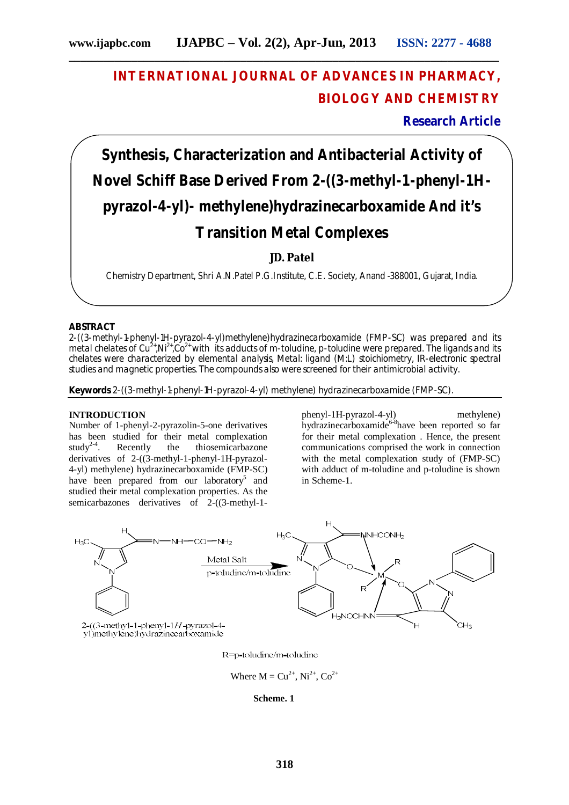## **INTERNATIONAL JOURNAL OF ADVANCES IN PHARMACY, BIOLOGY AND CHEMISTRY**

**Research Article**

# **Synthesis, Characterization and Antibacterial Activity of Novel Schiff Base Derived From 2-((3-methyl-1-phenyl-1Hpyrazol-4-yl)- methylene)hydrazinecarboxamide And it's Transition Metal Complexes**

**JD. Patel**

Chemistry Department, Shri A.N.Patel P.G.Institute, C.E. Society, Anand -388001, Gujarat, India.

#### **ABSTRACT**

2-((3-methyl-1-phenyl-1H-pyrazol-4-yl)methylene)hydrazinecarboxamide (FMP-SC) was prepared and its metal chelates of Cu<sup>2+</sup>,Ni<sup>2+</sup>,Co<sup>2+</sup> with its adducts of m-toludine, p-toludine were prepared. The ligands and its chelates were characterized by elemental analysis, Metal: ligand (M:L) stoichiometry, IR-electronic spectral studies and magnetic properties. The compounds also were screened for their antimicrobial activity.

**Keywords** 2-((3-methyl-1-phenyl-1H-pyrazol-4-yl) methylene) hydrazinecarboxamide (FMP-SC).

#### **INTRODUCTION**

Number of 1-phenyl-2-pyrazolin-5-one derivatives has been studied for their metal complexation study<sup>2-4</sup>. Recently the thiosemicarbazone derivatives of 2-((3-methyl-1-phenyl-1H-pyrazol-4-yl) methylene) hydrazinecarboxamide (FMP-SC) have been prepared from our laboratory<sup>5</sup> and studied their metal complexation properties. As the semicarbazones derivatives of 2-((3-methyl-1phenyl-1H-pyrazol-4-yl) methylene) hydrazinecarboxamide<sup>6-8</sup>have been reported so far for their metal complexation . Hence, the present communications comprised the work in connection with the metal complexation study of (FMP-SC) with adduct of m-toludine and p-toludine is shown in Scheme-1.



R=p-toludine/m-toludine

Where  $M = Cu^{2+}$ ,  $Ni^{2+}$ ,  $Co^{2+}$ 

**Scheme. 1**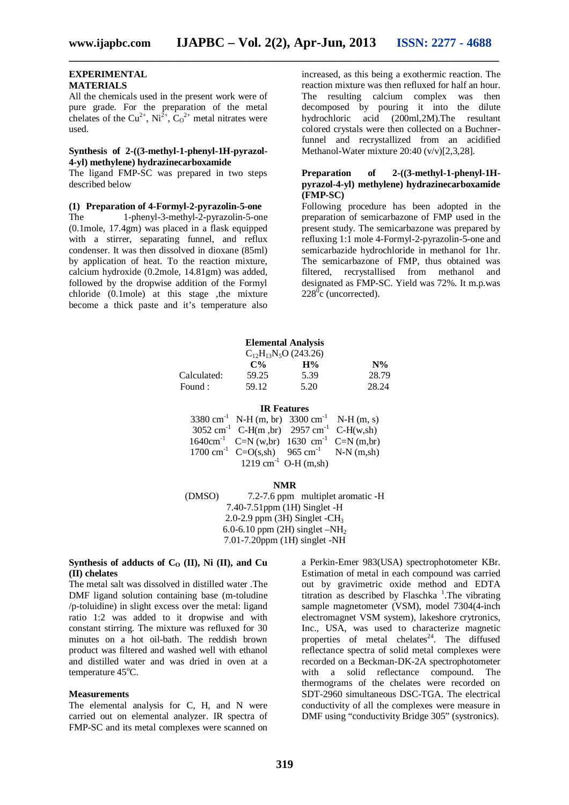**\_\_\_\_\_\_\_\_\_\_\_\_\_\_\_\_\_\_\_\_\_\_\_\_\_\_\_\_\_\_\_\_\_\_\_\_\_\_\_\_\_\_\_\_\_\_\_\_\_\_\_\_\_\_\_\_\_\_\_\_\_\_\_\_\_\_\_\_\_\_\_\_\_\_\_**

#### **EXPERIMENTAL MATERIALS**

All the chemicals used in the present work were of pure grade. For the preparation of the metal chelates of the Cu<sup>2+</sup>, Ni<sup>2+</sup>, C<sub>0</sub><sup>2+</sup> metal nitrates were used.

#### **Synthesis of 2-((3-methyl-1-phenyl-1H-pyrazol-4-yl) methylene) hydrazinecarboxamide**

The ligand FMP-SC was prepared in two steps described below

#### **(1) Preparation of 4-Formyl-2-pyrazolin-5-one**

The 1-phenyl-3-methyl-2-pyrazolin-5-one (0.1mole, 17.4gm) was placed in a flask equipped with a stirrer, separating funnel, and reflux condenser. It was then dissolved in dioxane (85ml) by application of heat. To the reaction mixture, calcium hydroxide (0.2mole, 14.81gm) was added, followed by the dropwise addition of the Formyl chloride  $(0.1$ mole) at this stage , the mixture become a thick paste and it's temperature also

increased, as this being a exothermic reaction. The reaction mixture was then refluxed for half an hour. The resulting calcium complex was then decomposed by pouring it into the dilute hydrochloric acid (200ml,2M).The resultant colored crystals were then collected on a Buchnerfunnel and recrystallized from an acidified Methanol-Water mixture 20:40 (v/v)[2,3,28].

#### **Preparation of 2-((3-methyl-1-phenyl-1Hpyrazol-4-yl) methylene) hydrazinecarboxamide (FMP-SC)**

Following procedure has been adopted in the preparation of semicarbazone of FMP used in the present study. The semicarbazone was prepared by refluxing 1:1 mole 4-Formyl-2-pyrazolin-5-one and semicarbazide hydrochloride in methanol for 1hr. The semicarbazone of FMP, thus obtained was filtered, recrystallised from methanol and designated as FMP-SC. Yield was 72%. It m.p.was  $228^{\circ}$ c (uncorrected).

|             |       | <b>Elemental Analysis</b><br>$C_{12}H_{13}N_5O(243.26)$ |       |
|-------------|-------|---------------------------------------------------------|-------|
|             | $C\%$ | $H\%$                                                   | $N\%$ |
| Calculated: | 59.25 | 5.39                                                    | 28.79 |
| Found :     | 59.12 | 5.20                                                    | 28.24 |

#### **IR Features**

| $3380 \text{ cm}^{-1}$ N-H (m, br) $3300 \text{ cm}^{-1}$ N-H (m, s) |                                  |  |
|----------------------------------------------------------------------|----------------------------------|--|
| $3052 \text{ cm}^{-1}$ C-H(m,br) $2957 \text{ cm}^{-1}$ C-H(w,sh)    |                                  |  |
| $1640 \text{cm}^{-1}$ C=N (w,br) 1630 cm <sup>-1</sup> C=N (m,br)    |                                  |  |
| 1700 cm <sup>-1</sup> C=O(s,sh) 965 cm <sup>-1</sup> N-N (m,sh)      |                                  |  |
|                                                                      | 1219 cm <sup>-1</sup> O-H (m,sh) |  |

#### **NMR**

(DMSO) 7.2-7.6 ppm multiplet aromatic -H 7.40-7.51ppm (1H) Singlet -H 2.0-2.9 ppm (3H) Singlet -CH<sup>3</sup> 6.0-6.10 ppm (2H) singlet  $-NH<sub>2</sub>$ 7.01-7.20ppm (1H) singlet -NH

#### **Synthesis of adducts of**  $C_0$  **(II), Ni (II), and Cu (II) chelates**

The metal salt was dissolved in distilled water .The DMF ligand solution containing base (m-toludine /p-toluidine) in slight excess over the metal: ligand ratio 1:2 was added to it dropwise and with constant stirring. The mixture was refluxed for 30 minutes on a hot oil-bath. The reddish brown product was filtered and washed well with ethanol and distilled water and was dried in oven at a temperature  $45^{\circ}$ C.

#### **Measurements**

The elemental analysis for C, H, and N were carried out on elemental analyzer. IR spectra of FMP-SC and its metal complexes were scanned on

a Perkin-Emer 983(USA) spectrophotometer KBr. Estimation of metal in each compound was carried out by gravimetric oxide method and EDTA titration as described by Flaschka<sup>1</sup>. The vibrating sample magnetometer (VSM), model 7304(4-inch electromagnet VSM system), lakeshore crytronics, Inc., USA, was used to characterize magnetic properties of metal chelates<sup>24</sup>. The diffused reflectance spectra of solid metal complexes were recorded on a Beckman-DK-2A spectrophotometer<br>with a solid reflectance compound. The with a solid reflectance compound. thermograms of the chelates were recorded on SDT-2960 simultaneous DSC-TGA. The electrical conductivity of all the complexes were measure in DMF using "conductivity Bridge 305" (systronics).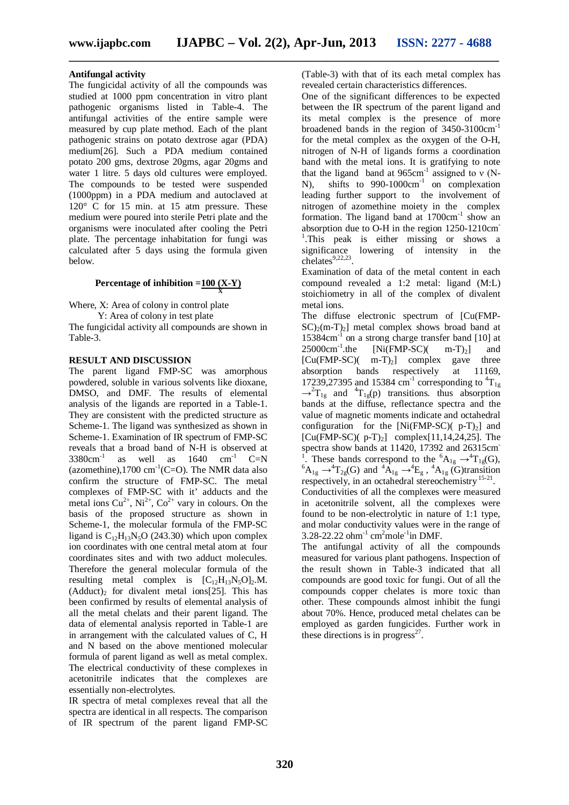**\_\_\_\_\_\_\_\_\_\_\_\_\_\_\_\_\_\_\_\_\_\_\_\_\_\_\_\_\_\_\_\_\_\_\_\_\_\_\_\_\_\_\_\_\_\_\_\_\_\_\_\_\_\_\_\_\_\_\_\_\_\_\_\_\_\_\_\_\_\_\_\_\_\_\_**

#### **Antifungal activity**

The fungicidal activity of all the compounds was studied at 1000 ppm concentration in vitro plant pathogenic organisms listed in Table-4. The antifungal activities of the entire sample were measured by cup plate method. Each of the plant pathogenic strains on potato dextrose agar (PDA) medium[26]. Such a PDA medium contained potato 200 gms, dextrose 20gms, agar 20gms and water 1 litre. 5 days old cultures were employed. The compounds to be tested were suspended (1000ppm) in a PDA medium and autoclaved at 120° C for 15 min. at 15 atm pressure. These medium were poured into sterile Petri plate and the organisms were inoculated after cooling the Petri plate. The percentage inhabitation for fungi was calculated after 5 days using the formula given below.

### **Percentage of inhibition =100 (X-Y) X**

Where, X: Area of colony in control plate Y: Area of colony in test plate The fungicidal activity all compounds are shown in

Table-3.

#### **RESULT AND DISCUSSION**

The parent ligand FMP-SC was amorphous powdered, soluble in various solvents like dioxane, DMSO, and DMF. The results of elemental analysis of the ligands are reported in a Table-1. They are consistent with the predicted structure as Scheme-1. The ligand was synthesized as shown in Scheme-1. Examination of IR spectrum of FMP-SC reveals that a broad band of N-H is observed at  $3380 \text{cm}^{-1}$ as well as  $1640 \text{ cm}^{-1} \text{ C=N}$ (azomethine),1700  $\text{cm}^{-1}$ (C=O). The NMR data also confirm the structure of FMP-SC. The metal complexes of FMP-SC with it' adducts and the metal ions  $Cu^{2+}$ ,  $Ni^{2+}$ ,  $Co^{2+}$  vary in colours. On the basis of the proposed structure as shown in Scheme-1, the molecular formula of the FMP-SC ligand is  $C_{12}H_{13}N_5O$  (243.30) which upon complex ion coordinates with one central metal atom at four coordinates sites and with two adduct molecules. Therefore the general molecular formula of the resulting metal complex is  $[C_{12}H_{13}N_5O]_2.M$ .  $(Adduct)_2$  for divalent metal ions[25]. This has been confirmed by results of elemental analysis of all the metal chelats and their parent ligand. The data of elemental analysis reported in Table-1 are in arrangement with the calculated values of C, H and N based on the above mentioned molecular formula of parent ligand as well as metal complex. The electrical conductivity of these complexes in acetonitrile indicates that the complexes are essentially non-electrolytes.

IR spectra of metal complexes reveal that all the spectra are identical in all respects. The comparison of IR spectrum of the parent ligand FMP-SC (Table-3) with that of its each metal complex has revealed certain characteristics differences.

One of the significant differences to be expected between the IR spectrum of the parent ligand and its metal complex is the presence of more broadened bands in the region of 3450-3100cm-1 for the metal complex as the oxygen of the O-H, nitrogen of N-H of ligands forms a coordination band with the metal ions. It is gratifying to note that the ligand band at  $965 \text{cm}^{-1}$  assigned to v (N-N), shifts to  $990-1000 \text{cm}^{-1}$  on complexation leading further support to the involvement of nitrogen of azomethine moiety in the complex formation. The ligand band at 1700cm<sup>-1</sup> show an absorption due to O-H in the region 1250-1210cm-<sup>1</sup>.This peak is either missing or shows a significance lowering of intensity in the chelates $9,22,23$ .

Examination of data of the metal content in each compound revealed a 1:2 metal: ligand (M:L) stoichiometry in all of the complex of divalent metal ions.

The diffuse electronic spectrum of [Cu(FMP- $SC<sub>2</sub>(m-T<sub>2</sub>)$  metal complex shows broad band at 15384cm-1 on a strong charge transfer band [10] at  $25000 \text{cm}^{-1}$ .the  $25000 \text{cm}^{-1}$ .the [Ni(FMP-SC)( m-T)<sub>2</sub>] and<br>[Cu(FMP-SC)( m-T)<sub>2</sub>] complex gave three  $[Cu(FMP-SC)(m-T)<sub>2</sub>]$  complex gave three<br>absorption bands respectively at 11169, bands respectively 17239,27395 and 15384 cm<sup>-1</sup> corresponding to  ${}^{4}T_{1g}$  $\rightarrow$ <sup>2</sup>T<sub>1g</sub> and <sup>4</sup>T<sub>1g</sub>(p) transitions. thus absorption bands at the diffuse, reflectance spectra and the value of magnetic moments indicate and octahedral configuration for the  $[Ni(FMP-SC)(p-T)_2]$  and  $[Cu(FMP-SC)(p-T)<sub>2</sub>]$  complex $[11,14,24,25]$ . The spectra show bands at 11420, 17392 and 26315cm <sup>1</sup>. These bands correspond to the  ${}^{6}A_{1g} \rightarrow {}^{4}T_{1g}(G)$ ,  ${}^6A_{1g} \rightarrow {}^4T_{2g}(G)$  and  ${}^4A_{1g} \rightarrow {}^4E_g$ ,  ${}^4A_{1g}(G)$ transition respectively, in an octahedral stereochemistry<sup>15-21</sup>.

Conductivities of all the complexes were measured in acetonitrile solvent, all the complexes were found to be non-electrolytic in nature of 1:1 type, and molar conductivity values were in the range of 3.28-22.22 ohm<sup>-1</sup> cm<sup>2</sup>mole<sup>-1</sup>in DMF.

The antifungal activity of all the compounds measured for various plant pathogens. Inspection of the result shown in Table-3 indicated that all compounds are good toxic for fungi. Out of all the compounds copper chelates is more toxic than other. These compounds almost inhibit the fungi about 70%. Hence, produced metal chelates can be employed as garden fungicides. Further work in these directions is in progress $^{27}$ .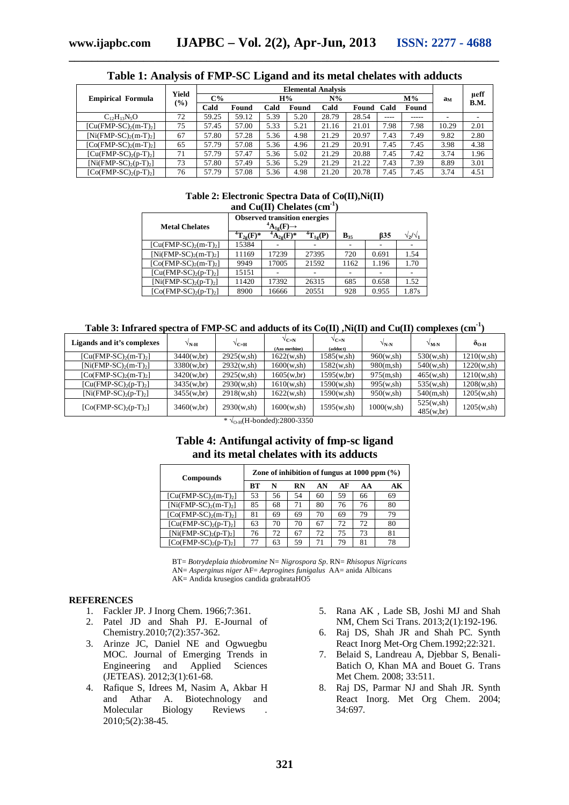|                             |        |                           |       | ຼ    |       |       |       |      |       |       |              |
|-----------------------------|--------|---------------------------|-------|------|-------|-------|-------|------|-------|-------|--------------|
|                             |        | <b>Elemental Analysis</b> |       |      |       |       |       |      |       |       |              |
| <b>Empirical Formula</b>    | Yield  | $C\%$                     |       |      | H%    | $N\%$ |       |      | $M\%$ | ам    | ueff<br>B.M. |
|                             | $(\%)$ | Cald                      | Found | Cald | Found | Cald  | Found | Cald | Found |       |              |
| $C_{12}H_{13}N_5O$          | 72     | 59.25                     | 59.12 | 5.39 | 5.20  | 28.79 | 28.54 | ---- | ----- |       |              |
| $[Cu(FMP-SC)2(m-T)2]$       | 75     | 57.45                     | 57.00 | 5.33 | 5.21  | 21.16 | 21.01 | 7.98 | 7.98  | 10.29 | 2.01         |
| $[Ni(FMP-SC)_{2}(m-T)_{2}]$ | 67     | 57.80                     | 57.28 | 5.36 | 4.98  | 21.29 | 20.97 | 7.43 | 7.49  | 9.82  | 2.80         |
| $[Co(FMP-SC)2(m-T)2]$       | 65     | 57.79                     | 57.08 | 5.36 | 4.96  | 21.29 | 20.91 | 7.45 | 7.45  | 3.98  | 4.38         |
| $[Cu(FMP-SC)2(p-T)2]$       | 71     | 57.79                     | 57.47 | 5.36 | 5.02  | 21.29 | 20.88 | 7.45 | 7.42  | 3.74  | 1.96         |
| $[Ni(FMP-SC), (p-T),]$      | 73     | 57.80                     | 57.49 | 5.36 | 5.29  | 21.29 | 21.22 | 7.43 | 7.39  | 8.89  | 3.01         |
| $[Co(FMP-SC),(p-T),]$       | 76     | 57.79                     | 57.08 | 5.36 | 4.98  | 21.20 | 20.78 | 7.45 | 7.45  | 3.74  | 4.51         |

**Table 1: Analysis of FMP-SC Ligand and its metal chelates with adducts**

**\_\_\_\_\_\_\_\_\_\_\_\_\_\_\_\_\_\_\_\_\_\_\_\_\_\_\_\_\_\_\_\_\_\_\_\_\_\_\_\_\_\_\_\_\_\_\_\_\_\_\_\_\_\_\_\_\_\_\_\_\_\_\_\_\_\_\_\_\_\_\_\_\_\_\_**

## **Table 2: Electronic Spectra Data of Co(II),Ni(II)**

| and Cu(II) Chelates $(cm-1)$ |                     |                                                                    |                 |          |            |                     |  |  |  |  |
|------------------------------|---------------------|--------------------------------------------------------------------|-----------------|----------|------------|---------------------|--|--|--|--|
| <b>Metal Chelates</b>        |                     | <b>Observed transition energies</b><br>${}^4A_{1g}(F) \rightarrow$ |                 |          |            |                     |  |  |  |  |
|                              | ${}^{4}T_{2g}(F)^*$ | $\mathbf{A}_{2g}(\mathbf{F})^*$                                    | ${}^4T_{12}(P)$ | $B_{35}$ | <b>B35</b> | $\sqrt{2/\sqrt{1}}$ |  |  |  |  |
| $[Cu(FMP-SC)2(m-T)2]$        | 15384               |                                                                    |                 |          |            |                     |  |  |  |  |
| $[Ni(FMP-SC)_{2}(m-T)_{2}]$  | 11169               | 17239                                                              | 27395           | 720      | 0.691      | 1.54                |  |  |  |  |
| $[Co(FMP-SC)2(m-T)2]$        | 9949                | 17005                                                              | 21592           | 1162     | 1.196      | 1.70                |  |  |  |  |
| $[Cu(FMP-SC)2(p-T)2]$        | 15151               |                                                                    |                 |          |            |                     |  |  |  |  |
| $[Ni(FMP-SC)2(p-T)2]$        | 11420               | 17392                                                              | 26315           | 685      | 0.658      | 1.52                |  |  |  |  |
| $[Co(FMP-SC)2(p-T)2]$        | 8900                | 16666                                                              | 20551           | 928      | 0.955      | 1.87s               |  |  |  |  |

|  | Table 3: Infrared spectra of FMP-SC and adducts of its Co(II) ,Ni(II) and Cu(II) complexes $\rm (cm^{-1})$ |  |  |
|--|------------------------------------------------------------------------------------------------------------|--|--|
|--|------------------------------------------------------------------------------------------------------------|--|--|

| Ligands and it's complexes  | √N-н        | $V_{\mathbf{C}=\mathbf{H}}$ | $V_{C=N}$<br>(Azo methine) | $V_{C=N}$<br>(adduct) | $V_{N-N}$   | $V_{M-N}$               | $\delta$ o-h |
|-----------------------------|-------------|-----------------------------|----------------------------|-----------------------|-------------|-------------------------|--------------|
| $[Cu(FMP-SC)_{2}(m-T)_{2}]$ | 3440(w, br) | 2925(w,sh)                  | 1622(w,sh)                 | 1585(w,sh)            | 960(w,sh)   | 530(w,sh)               | 1210(w,sh)   |
| $[Ni(FMP-SC)2(m-T)2]$       | 3380(w, br) | 2932(w,sh)                  | 1600(w, sh)                | 1582(w,sh)            | 980(m,sh)   | 540(w,sh)               | 1220(w,sh)   |
| $[Co(FMP-SC)2(m-T)2]$       | 3420(w, br) | 2925(w,sh)                  | 1605(w, br)                | 1595(w, br)           | 975(m,sh)   | 465(w,sh)               | 1210(w,sh)   |
| $[Cu(FMP-SC)2(p-T)2]$       | 3435(w, br) | 2930(w,sh)                  | 1610(w, sh)                | 1590(w,sh)            | 995(w,sh)   | 535(w,sh)               | 1208(w,sh)   |
| $[Ni(FMP-SC)2(p-T)2]$       | 3455(w, br) | 2918(w,sh)                  | 1622(w,sh)                 | 1590(w,sh)            | 950(w,sh)   | 540(m,sh)               | 1205(w,sh)   |
| $[Co(FMP-SC)2(p-T)2]$       | 3460(w, br) | 2930(w,sh)                  | 1600(w, sh)                | 1595(w,sh)            | 1000(w, sh) | 525(w,sh)<br>485(w, br) | 1205(w,sh)   |

\*  $\sqrt{\text{o-H(H-bonded)}}$ :2800-3350

#### **Table 4: Antifungal activity of fmp-sc ligand and its metal chelates with its adducts**

| <b>Compounds</b>      | Zone of inhibition of fungus at $1000$ ppm $(\%)$ |    |           |    |    |    |    |  |
|-----------------------|---------------------------------------------------|----|-----------|----|----|----|----|--|
|                       | RТ                                                | N  | <b>RN</b> | AN | AF | AA | AК |  |
| $[Cu(FMP-SC)2(m-T)2]$ | 53                                                | 56 | 54        | 60 | 59 | 66 | 69 |  |
| $[Ni(FMP-SC)2(m-T)2]$ | 85                                                | 68 | 71        | 80 | 76 | 76 | 80 |  |
| $[Co(FMP-SC)2(m-T)2]$ | 81                                                | 69 | 69        | 70 | 69 | 79 | 79 |  |
| $[Cu(FMP-SC)2(p-T)2]$ | 63                                                | 70 | 70        | 67 | 72 | 72 | 80 |  |
| $[Ni(FMP-SC)2(p-T)2]$ | 76                                                | 72 | 67        | 72 | 75 | 73 | 81 |  |
| $[Co(FMP-SC)2(p-T)2]$ | 77                                                | 63 | 59        | 71 | 79 | 81 | 78 |  |

BT= *Botrydeplaia thiobromine* N= *Nigrospora Sp*. RN= *Rhisopus Nigricans* AN= *Asperginus niger* AF= *Aeprogines funigalus* AA= anida Albicans AK= Andida krusegios candida grabrataHO5

#### **REFERENCES**

- 1. Fackler JP. J Inorg Chem. 1966;7:361.
- 2. Patel JD and Shah PJ. E-Journal of Chemistry.2010;7(2):357-362.
- 3. Arinze JC, Daniel NE and Ogwuegbu MOC. Journal of Emerging Trends in<br>Engineering and Applied Sciences Engineering and Applied (JETEAS). 2012;3(1):61-68.
- 4. Rafique S, Idrees M, Nasim A, Akbar H and Athar A. Biotechnology and Molecular Biology Reviews . 2010;5(2):38-45.
- 5. Rana AK , Lade SB, Joshi MJ and Shah NM, Chem Sci Trans. 2013;2(1):192-196.
- 6. Raj DS, Shah JR and Shah PC. Synth React Inorg Met-Org Chem.1992;22:321.
- 7. Belaid S, Landreau A, Djebbar S, Benali-Batich O, Khan MA and Bouet G. Trans Met Chem. 2008; 33:511.
- 8. Raj DS, Parmar NJ and Shah JR. Synth React Inorg. Met Org Chem. 2004; 34:697.